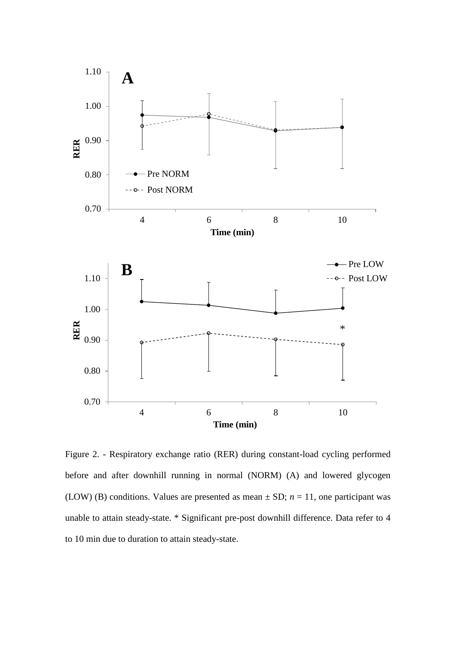

Figure 2. - Respiratory exchange ratio (RER) during constant-load cycling performed before and after downhill running in normal (NORM) (A) and lowered glycogen (LOW) (B) conditions. Values are presented as mean  $\pm$  SD;  $n = 11$ , one participant was unable to attain steady-state. \* Significant pre-post downhill difference. Data refer to 4 to 10 min due to duration to attain steady-state.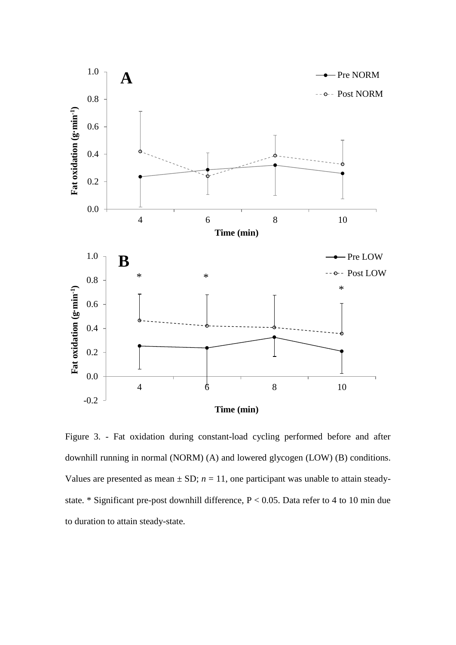

Figure 3. - Fat oxidation during constant-load cycling performed before and after downhill running in normal (NORM) (A) and lowered glycogen (LOW) (B) conditions. Values are presented as mean  $\pm$  SD;  $n = 11$ , one participant was unable to attain steadystate. \* Significant pre-post downhill difference, P < 0.05. Data refer to 4 to 10 min due to duration to attain steady-state.